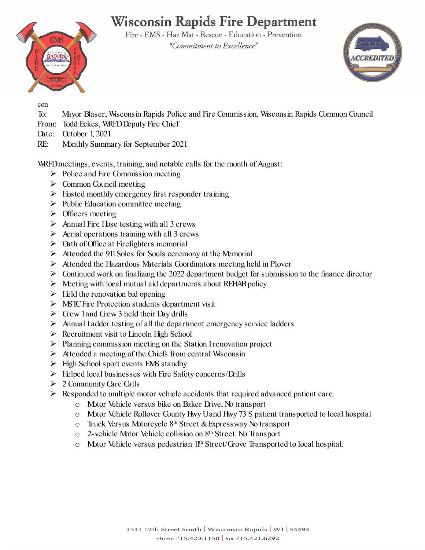## **Wisconsin Rapids Fire Department**

Fire - EMS - Haz Mat - Rescue - Education - Prevention "Commitment to Excellence"





con

- To: Mayor Blaser, Wisconsin Rapids Police and Fire Commission, Wisconsin Rapids Common Council
- From: Todd Eckes, WRFD Deputy Fire Chief
- Date: October 1, 2021
- RE: Monthly Summary for September 2021

WRFDmeetings, events, training, and notable calls for the month of August:

- $\triangleright$  Police and Fire Commission meeting
- $\triangleright$  Common Council meeting
- $\triangleright$  Hosted monthly emergency first responder training
- $\triangleright$  Public Education committee meeting
- $\triangleright$  Officers meeting
- $\triangleright$  Annual Fire Hose testing with all 3 crews
- $\triangleright$  Aerial operations training with all 3 crews
- $\triangleright$  Oath of Office at Firefighters memorial
- $\triangleright$  Attended the 911 Soles for Souls ceremony at the Memorial
- Attended the Hazardous Materials Coordinators meeting held in Plover
- $\triangleright$  Continued work on finalizing the 2022 department budget for submission to the finance director
- $\triangleright$  Meeting with local mutual aid departments about REHAB policy
- $\triangleright$  Held the renovation bid opening
- $\triangleright$  MSTC Fire Protection students department visit
- $\triangleright$  Crew 1 and Crew 3 held their Day drills
- $\triangleright$  Annual Ladder testing of all the department emergency service ladders
- $\triangleright$  Recruitment visit to Lincoln High School
- $\triangleright$  Planning commission meeting on the Station I renovation project
- $\triangleright$  Attended a meeting of the Chiefs from central Wisconsin
- $\triangleright$  High School sport events EMS standby
- $\triangleright$  Helped local businesses with Fire Safety concerns/Drills
- $\geq 2$  Community Care Calls
- $\triangleright$  Responded to multiple motor vehicle accidents that required advanced patient care.
	- o Motor Vehicle versus bike on Baker Drive, No transport
	- o Motor Vehicle Rollover County Hwy U and Hwy 73 S patient transported to local hospital
	- o Truck Versus Motorcycle 8th Street & Expressway No transport
	- o 2-vehicle Motor Vehicle collision on 8th Street. No Transport
	- o Motor Vehicle versus pedestrian 11th Street/Grove Transported to local hospital.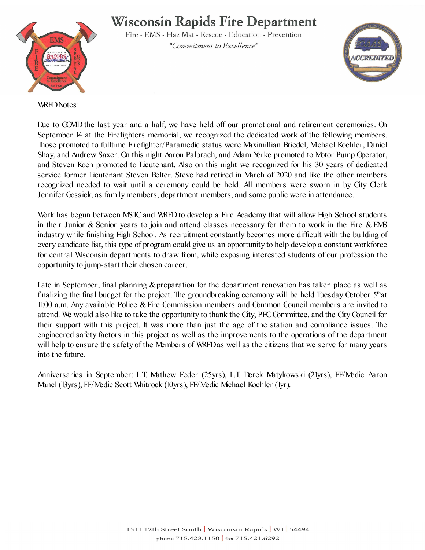## **Wisconsin Rapids Fire Department**



Fire - EMS - Haz Mat - Rescue - Education - Prevention "Commitment to Excellence"



WRFD Notes:

Due to COVID the last year and a half, we have held off our promotional and retirement ceremonies. On September 14 at the Firefighters memorial, we recognized the dedicated work of the following members. Those promoted to fulltime Firefighter/Paramedic status were Maximillian Briedel, Mchael Koehler, Daniel Shay, and Andrew Saxer. On this night Aaron Palbrach, and Adam Yerke promoted to Motor Pump Operator, and Steven Koch promoted to Lieutenant. Also on this night we recognized for his 30 years of dedicated service former Lieutenant Steven Belter. Steve had retired in March of 2020 and like the other members recognized needed to wait until a ceremony could be held. All members were sworn in by City Clerk Jennifer Gossick, as family members, department members, and some public were in attendance.

Work has begun between MSTC and WRFD to develop a Fire Academy that will allow High School students in their Junior & Senior years to join and attend classes necessary for them to work in the Fire & EMS industry while finishing High School. As recruitment constantly becomes more difficult with the building of every candidate list, this type of program could give us an opportunity to help develop a constant workforce for central Wisconsin departments to draw from, while exposing interested students of our profession the opportunity to jump-start their chosen career.

Late in September, final planning & preparation for the department renovation has taken place as well as finalizing the final budget for the project. The groundbreaking ceremony will be held Tuesday October 5<sup>th</sup>at 11:00 a.m. Any available Police & Fire Commission members and Common Council members are invited to attend. We would also like to take the opportunity to thank the City, PFC Committee, and the City Council for their support with this project. It was more than just the age of the station and compliance issues. The engineered safety factors in this project as well as the improvements to the operations of the department will help to ensure the safety of the Members of WRFD as well as the citizens that we serve for many years into the future.

Anniversaries in September: L.T. Mathew Feder (25yrs), L.T. Derek Matykowski (21yrs), FF/Medic Aaron Mancl (13yrs), FF/Medic Scott Whitrock (10yrs), FF/Medic Michael Koehler (1yr).